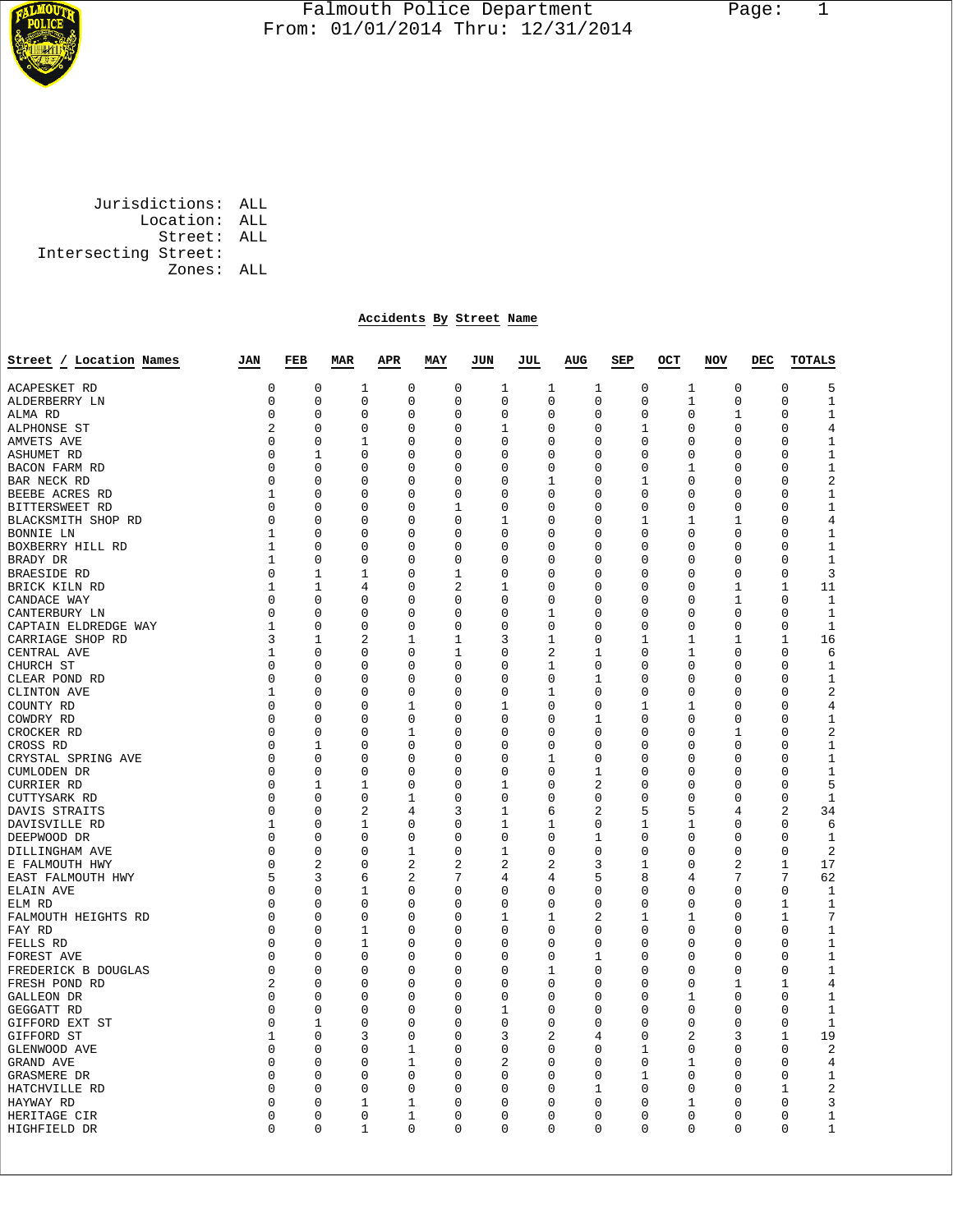

## Falmouth Police Department Page: 1  $\frac{1}{3}$  From: 01/01/2014 Thru: 12/31/2014

 Jurisdictions: ALL Location: ALL Street: ALL Intersecting Street: Zones: ALL

## **Accidents By Street Name**

| Street / Location Names             | JAN           | FEB              | <b>MAR</b>          | APR              | MAY              | JUN               | JUL          | AUG                 | SEP         | OCT | <b>NOV</b>               | DEC | <b>TOTALS</b>                                 |
|-------------------------------------|---------------|------------------|---------------------|------------------|------------------|-------------------|--------------|---------------------|-------------|-----|--------------------------|-----|-----------------------------------------------|
| <b>ACAPESKET RD</b>                 | 0             | $\mathbf 0$      | $\mathbf 1$         | $\mathbf 0$      | $\mathbf 0$      | 1                 | 1            | 1                   | $\mathbf 0$ |     | 0<br>1                   |     | $\mathbf{0}$<br>5                             |
| ALDERBERRY LN                       | 0             | 0                | $\Omega$            | 0                | $\mathbf 0$      | 0                 | 0            | 0                   | 0           |     | 1<br>0                   |     | $\mathbf{1}$<br>0                             |
| ALMA RD                             | 0             | 0                | 0                   | $\mathbf 0$      | $\mathbf 0$      | $\mathbf 0$       | 0            | $\mathbf 0$         | 0           |     | 1<br>0                   |     | $\mathbf 0$<br>$\mathbf{1}$                   |
| ALPHONSE ST                         | 2             | 0                | 0                   | 0                | 0                | 1                 | 0            | 0                   | 1           |     | 0<br>0                   |     | $\overline{4}$<br>$\mathbf 0$                 |
| AMVETS AVE                          | $\Omega$      | 0                | 1                   | 0                | 0                | 0                 | 0            | 0                   | 0           |     | 0<br>0                   |     | $\mathbf 0$<br>1                              |
| <b>ASHUMET RD</b>                   | 0             | 1                | 0                   | 0                | 0                | 0                 | 0            | 0                   | 0           |     | 0<br>0                   |     | 1<br>$\mathbf 0$                              |
| BACON FARM RD                       | $\Omega$      | $\Omega$         | 0                   | $\Omega$         | $\Omega$         | 0                 | $\Omega$     | $\Omega$            | $\Omega$    |     | $\Omega$<br>1            |     | $\Omega$<br>1                                 |
| BAR NECK RD                         | 0             | 0                | 0                   | 0                | 0                | 0                 | 1            | 0                   | 1           |     | 0<br>0                   |     | 2<br>$\mathbf 0$                              |
| BEEBE ACRES RD                      | 1             | 0                | 0                   | 0                | 0                | 0                 | 0            | 0                   | 0           |     | 0<br>0                   |     | $\mathbf 0$<br>1                              |
| BITTERSWEET RD                      | $\Omega$      | $\Omega$         | 0                   | $\Omega$         | 1                | $\Omega$          | $\Omega$     | $\Omega$            | $\Omega$    |     | $\Omega$<br>0            |     | $\mathbf{1}$<br>$\mathbf 0$                   |
| BLACKSMITH SHOP RD                  | 0             | 0                | 0                   | 0                | 0                | 1                 | 0            | 0                   | 1           |     | 1<br>1                   |     | $\,4$<br>$\mathbf 0$                          |
| BONNIE LN                           | 1             | $\Omega$         | 0                   | $\Omega$         | $\Omega$         | $\Omega$          | $\Omega$     | $\Omega$            | $\Omega$    |     | $\Omega$<br>$\Omega$     |     | 1<br>$\Omega$                                 |
|                                     | 1             | 0                | $\Omega$            | $\mathbf 0$      | $\mathbf 0$      | 0                 | 0            | 0                   | 0           |     | 0<br>0                   |     | $\mathbf 0$<br>1                              |
| BOXBERRY HILL RD<br>BRADY DR        | 1             | $\Omega$         | 0                   | $\Omega$         | $\Omega$         | $\Omega$          | $\Omega$     | $\Omega$            | $\Omega$    |     | $\Omega$<br>0            |     | $\Omega$<br>1                                 |
|                                     | 0             | 1                | 1                   | $\mathbf 0$      | $\mathbf{1}$     | 0                 | 0            | 0                   | 0           |     | $\mathbf 0$<br>0         |     | $\mathbf 0$<br>3                              |
| <b>BRAESIDE RD</b>                  |               |                  |                     |                  |                  |                   | $\Omega$     |                     |             |     |                          |     |                                               |
| BRICK KILN RD                       | 1<br>0        | 1<br>$\mathbf 0$ | 4                   | 0<br>$\Omega$    | 2<br>$\mathbf 0$ | 1<br>$\Omega$     | $\mathbf 0$  | 0<br>$\mathbf 0$    | 0           |     | 0<br>1<br>$\mathbf 1$    |     | 1<br>11<br>$\mathbf 0$                        |
| CANDACE WAY                         |               |                  | 0                   |                  |                  |                   |              |                     | 0           |     | 0                        |     | 1                                             |
| CANTERBURY LN                       | 0             | 0                | $\Omega$            | $\mathbf 0$      | $\mathbf 0$      | 0                 | 1            | 0                   | 0           |     | $\mathbf 0$<br>0         |     | $\mathbf 0$<br>$\mathbf{1}$                   |
| CAPTAIN ELDREDGE WAY                | 1             | 0                | $\Omega$            | 0                | 0                | 0                 | 0            | 0                   | 0           |     | 0<br>0                   |     | $\mathbf 0$<br>1                              |
| CARRIAGE SHOP RD                    | 3             | 1                | 2                   | 1                | 1                | 3                 | 1            | $\Omega$            | 1           |     | 1<br>1                   |     | $\mathbf{1}$<br>16                            |
| CENTRAL AVE                         | 1             | 0                | $\Omega$            | 0                | 1                | 0                 | 2            | 1                   | 0           |     | 1<br>0                   |     | $\mathbf 0$<br>6                              |
| CHURCH ST                           | 0             | $\mathbf 0$      | $\Omega$            | $\mathbf 0$      | $\mathbf 0$      | $\mathbf 0$       | $\mathbf{1}$ | 0                   | $\mathbf 0$ |     | 0<br>$\mathbf 0$         |     | $\mathbf 0$<br>$\mathbf{1}$                   |
| CLEAR POND RD                       | 0             | 0                | $\Omega$            | 0                | 0                | 0                 | 0            | 1                   | 0           |     | 0<br>0                   |     | $\mathbf 0$<br>$\mathbf 1$                    |
| CLINTON AVE                         | 1             | $\Omega$         | $\Omega$            | 0                | $\Omega$         | 0                 | 1            | $\Omega$            | $\Omega$    |     | 0<br>0                   |     | $\overline{c}$<br>$\mathbf 0$                 |
| COUNTY RD                           | 0             | $\mathbf 0$      | 0                   | $\mathbf 1$      | $\mathbf 0$      | $\mathbf 1$       | 0            | 0                   | 1           |     | 0<br>1                   |     | $\mathbf 0$<br>$\overline{4}$                 |
| COWDRY RD                           | $\Omega$      | 0                | 0                   | 0                | $\Omega$         | 0                 | $\Omega$     | 1                   | $\Omega$    |     | 0<br>0                   |     | $\mathbf 0$<br>1                              |
| CROCKER RD                          | 0             | $\mathbf 0$      | 0                   | $\mathbf 1$      | $\mathbf 0$      | 0                 | 0            | 0                   | 0           |     | 1<br>0                   |     | $\overline{c}$<br>$\mathbf 0$                 |
| CROSS RD                            | 0             | 1                | 0                   | $\mathbf 0$      | $\mathbf 0$      | 0                 | 0            | 0                   | 0           |     | $\mathbf 0$<br>0         |     | $\mathbf 0$<br>$\mathbf{1}$                   |
| CRYSTAL SPRING AVE                  | 0             | 0                | 0                   | $\mathsf 0$      | $\mathbf 0$      | 0                 | 1            | 0                   | 0           |     | $\mathbf 0$<br>0         |     | $\mathbf 0$<br>$\mathbf{1}$                   |
| CUMLODEN DR                         | 0             | $\mathbf 0$      | 0                   | $\mathsf 0$      | $\mathbf 0$      | 0                 | 0            | 1                   | 0           |     | $\mathbf 0$<br>0         |     | $\mathbf 0$<br>$\mathbf{1}$                   |
| CURRIER RD                          | 0             | 1                | 1                   | $\mathbf 0$      | 0                | 1                 | 0            | 2                   | 0           |     | 0<br>0                   |     | 5<br>$\mathbf 0$                              |
| CUTTYSARK RD                        | 0             | $\mathbf 0$      | 0<br>$\overline{2}$ | 1                | $\mathbf 0$<br>3 | 0<br>$\mathbf{1}$ | 0            | 0<br>$\overline{2}$ | 0           |     | 0<br>0                   |     | $\mathbf 0$<br>$\mathbf{1}$<br>$\overline{2}$ |
| DAVIS STRAITS                       | 0             | 0<br>$\mathbf 0$ |                     | 4<br>$\mathbf 0$ | $\mathbf 0$      | $\mathbf{1}$      | 6            | 0                   | 5           |     | 5<br>4<br>$\mathbf 0$    |     | 34<br>$\mathbf{0}$<br>6                       |
| DAVISVILLE RD                       | 1<br>$\Omega$ | 0                | 1<br>0              | $\mathbf 0$      | 0                | 0                 | 1<br>0       | 1                   | 1<br>0      |     | 1<br>0<br>0              |     | 0<br>1                                        |
| DEEPWOOD DR                         | $\Omega$      | 0                |                     | 1                | 0                | 1                 | 0            | $\mathbf 0$         | $\Omega$    |     | 0                        |     | $\overline{2}$<br>$\mathbf 0$                 |
| DILLINGHAM AVE                      | 0             | $\overline{2}$   | 0<br>0              | 2                | 2                | 2                 | 2            | 3                   | 1           |     | 0<br>$\overline{a}$<br>0 |     | 17<br>$\mathbf{1}$                            |
| E FALMOUTH HWY<br>EAST FALMOUTH HWY | 5             | 3                | 6                   | 2                | 7                | 4                 | 4            | 5                   | 8           |     | 7<br>4                   |     | 7<br>62                                       |
| ELAIN AVE                           | 0             | $\mathbf 0$      | 1                   | $\mathbf 0$      | $\mathbf 0$      | 0                 | 0            | 0                   | 0           |     | 0<br>0                   |     | $\mathbf{0}$<br>$\mathbf{1}$                  |
| ELM RD                              | 0             | $\Omega$         | 0                   | $\mathbf 0$      | $\Omega$         | 0                 | $\Omega$     | $\Omega$            | $\Omega$    |     | $\Omega$<br>$\Omega$     |     | 1<br>1                                        |
| FALMOUTH HEIGHTS RD                 | 0             | $\mathbf 0$      | 0                   | $\mathbf 0$      | $\mathbf 0$      | 1                 | 1            | $\overline{2}$      | 1           |     | 0<br>1                   |     | 7<br>$\mathbf{1}$                             |
| FAY RD                              | 0             | 0                | 1                   | $\mathsf 0$      | $\mathbf 0$      | 0                 | 0            | 0                   | 0           |     | 0<br>0                   |     | $\mathbf{0}$<br>$\mathbf{1}$                  |
| FELLS RD                            | 0             | 0                | 1                   | 0                | 0                | 0                 | 0            | 0                   | 0           |     | 0<br>0                   |     | $\mathbf{1}$<br>$\mathbf 0$                   |
| FOREST AVE                          | 0             | 0                | 0                   | $\mathbf 0$      | $\mathbf 0$      | 0                 | 0            | 1                   | 0           |     | 0<br>0                   |     | $\mathbf 0$<br>$\mathbf{1}$                   |
| FREDERICK B DOUGLAS                 | 0             | 0                | 0                   | 0                | 0                | 0                 | 1            | 0                   | 0           |     | 0<br>0                   |     | $\mathbf{1}$<br>$\mathbf 0$                   |
| FRESH POND RD                       | 2             | 0                | 0                   | $\mathbf 0$      | $\mathbf 0$      | 0                 | 0            | $\mathbf 0$         | 0           |     | 0<br>1                   |     | $\mathbf 1$<br>$\overline{4}$                 |
| GALLEON DR                          | 0             | $\Omega$         | 0                   | 0                | 0                | $\Omega$          | 0            | $\Omega$            | $\Omega$    |     | 0<br>1                   |     | $\mathbf 1$<br>0                              |
| GEGGATT RD                          | 0             | $\mathbf 0$      | 0                   | $\mathbf 0$      | $\mathbf 0$      | 1                 | 0            | $\mathbf 0$         | 0           |     | $\mathbf 0$<br>0         |     | $\mathbf 0$<br>1                              |
| GIFFORD EXT ST                      | 0             | 1                | 0                   | 0                | 0                | 0                 | 0            | 0                   | 0           |     | 0<br>0                   |     | $\mathbf 0$<br>$\mathbf{1}$                   |
| GIFFORD ST                          | 1             | 0                | 3                   | 0                | 0                | 3                 | 2            | 4                   | 0           |     | 2<br>3                   |     | 19<br>1                                       |
| GLENWOOD AVE                        | 0             | 0                | 0                   | 1                | 0                | 0                 | 0            | 0                   | 1           |     | 0<br>0                   |     | 2<br>$\mathbf 0$                              |
| GRAND AVE                           | $\Omega$      | $\Omega$         | 0                   | $\mathbf{1}$     | $\Omega$         | 2                 | $\Omega$     | $\Omega$            | $\Omega$    |     | $\mathbf{1}$<br>$\Omega$ |     | $\Omega$<br>4                                 |
| GRASMERE DR                         | 0             | 0                | 0                   | 0                | 0                | 0                 | 0            | 0                   | 1           |     | 0<br>0                   |     | $\mathbf 1$<br>$\mathbf 0$                    |
| HATCHVILLE RD                       | 0             | 0                | 0                   | 0                | 0                | 0                 | 0            | 1                   | 0           |     | 0<br>0                   |     | $\overline{\mathbf{c}}$<br>1                  |
| HAYWAY RD                           | $\Omega$      | $\Omega$         | 1                   | 1                | $\Omega$         | $\Omega$          | $\Omega$     | $\Omega$            | $\Omega$    |     | $\Omega$<br>1            |     | $\mathbf 0$<br>3                              |
| HERITAGE CIR                        | 0             | 0                | 0                   | 1                | 0                | 0                 | 0            | 0                   | 0           |     | 0<br>0                   |     | $\mathbf 0$<br>1                              |
| HIGHFIELD DR                        | $\Omega$      | $\Omega$         | 1                   | $\Omega$         | $\Omega$         | $\Omega$          | $\Omega$     | $\Omega$            | $\Omega$    |     | $\Omega$<br>$\Omega$     |     | $\mathbf 1$<br>$\Omega$                       |
|                                     |               |                  |                     |                  |                  |                   |              |                     |             |     |                          |     |                                               |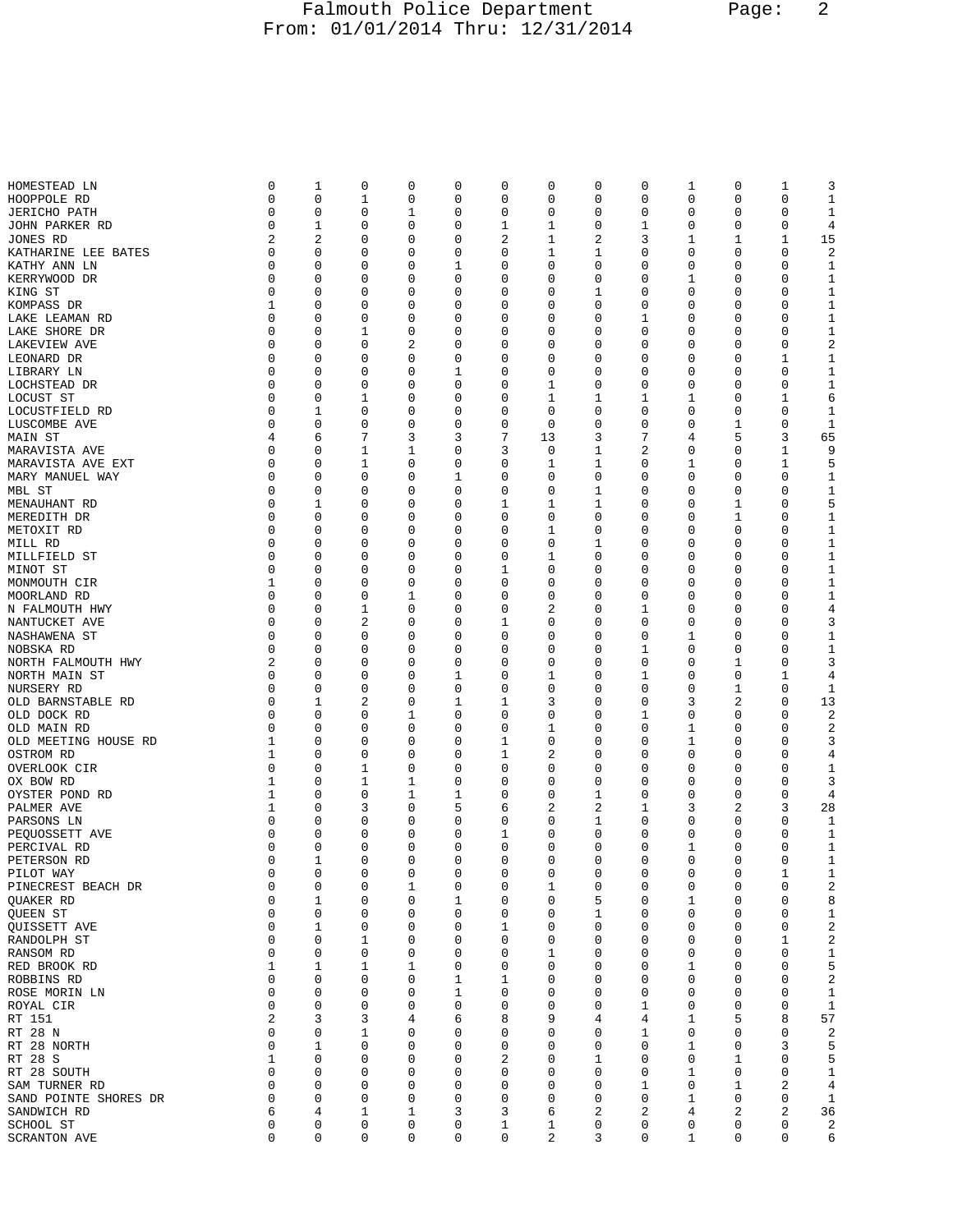## Falmouth Police Department Page: 2 From: 01/01/2014 Thru: 12/31/2014

| HOMESTEAD LN          | 0           | 1           | 0           | 0 | 0 | 0           | 0           | 0 | 0           | 1 | 0        | 1           | 3              |
|-----------------------|-------------|-------------|-------------|---|---|-------------|-------------|---|-------------|---|----------|-------------|----------------|
| HOOPPOLE RD           | 0           | 0           | 1           | 0 | 0 | 0           | 0           | 0 | 0           | 0 | 0        | 0           | $\mathbf 1$    |
| <b>JERICHO PATH</b>   | $\mathbf 0$ | 0           | 0           | 1 | 0 | 0           | 0           | 0 | 0           | 0 | 0        | 0           | $\mathbf 1$    |
|                       |             |             |             |   |   |             |             |   |             |   |          |             |                |
| JOHN PARKER RD        | 0           | 1           | 0           | 0 | 0 | 1           | 1           | 0 | 1           | 0 | 0        | 0           | 4              |
| JONES RD              | 2           | 2           | 0           | 0 | 0 | $\sqrt{2}$  | 1           | 2 | 3           | 1 | 1        | $\mathbf 1$ | 15             |
| KATHARINE LEE BATES   | 0           | 0           | 0           | 0 | 0 | 0           | 1           | 1 | 0           | 0 | 0        | $\mathbf 0$ | $\overline{c}$ |
| KATHY ANN LN          | 0           | 0           | 0           | 0 | 1 | 0           | 0           | 0 | 0           | 0 | 0        | 0           | $\mathbf 1$    |
|                       |             |             |             |   |   |             |             |   |             |   |          |             |                |
| KERRYWOOD DR          | 0           | 0           | 0           | 0 | 0 | 0           | 0           | 0 | 0           | 1 | 0        | 0           | $\mathbf 1$    |
| KING ST               | 0           | $\mathbf 0$ | $\mathbf 0$ | 0 | 0 | 0           | 0           | 1 | 0           | 0 | 0        | 0           | $1\,$          |
| KOMPASS DR            | 1           | 0           | 0           | 0 | 0 | 0           | 0           | 0 | 0           | 0 | 0        | 0           | $\mathbf 1$    |
|                       | $\mathbf 0$ | 0           | 0           | 0 | 0 | 0           | 0           | 0 | 1           | 0 | 0        | 0           | $1\,$          |
| LAKE LEAMAN RD        |             |             |             |   |   |             |             |   |             |   |          |             |                |
| LAKE SHORE DR         | 0           | 0           | 1           | 0 | 0 | 0           | 0           | 0 | 0           | 0 | 0        | 0           | $1\,$          |
| LAKEVIEW AVE          | 0           | 0           | 0           | 2 | 0 | 0           | 0           | 0 | 0           | 0 | 0        | 0           | $\sqrt{2}$     |
| LEONARD DR            | 0           | 0           | 0           | 0 | 0 | 0           | 0           | 0 | 0           | 0 | 0        | 1           | $\mathbf 1$    |
|                       |             |             |             |   |   |             |             |   |             |   |          |             |                |
| LIBRARY LN            | 0           | 0           | 0           | 0 | 1 | 0           | 0           | 0 | 0           | 0 | 0        | 0           | $1\,$          |
| LOCHSTEAD DR          | 0           | 0           | 0           | 0 | 0 | 0           | 1           | 0 | 0           | 0 | 0        | 0           | $\mathbf 1$    |
| LOCUST ST             | 0           | 0           | 1           | 0 | 0 | 0           | 1           | 1 | 1           | 1 | 0        | 1           | 6              |
| LOCUSTFIELD RD        | 0           | 1           | 0           | 0 | 0 | 0           | 0           | 0 | 0           | 0 | 0        | $\mathbf 0$ | 1              |
|                       |             |             |             |   |   |             |             |   |             |   |          |             |                |
| LUSCOMBE AVE          | 0           | 0           | 0           | 0 | 0 | 0           | 0           | 0 | 0           | 0 | 1        | 0           | 1              |
| MAIN ST               | 4           | 6           | 7           | 3 | 3 | 7           | 13          | 3 | 7           | 4 | 5        | 3           | 65             |
| MARAVISTA AVE         | 0           | 0           | 1           | 1 | 0 | 3           | 0           | 1 | 2           | 0 | 0        | 1           | 9              |
| MARAVISTA AVE EXT     | 0           | 0           | 1           | 0 | 0 | 0           | 1           | 1 | 0           | 1 | 0        | 1           | 5              |
|                       |             |             |             |   |   |             |             |   |             |   |          |             |                |
| MARY MANUEL WAY       | $\Omega$    | 0           | 0           | 0 | 1 | 0           | 0           | 0 | 0           | 0 | 0        | 0           | 1              |
| MBL ST                | 0           | 0           | 0           | 0 | 0 | 0           | 0           | 1 | 0           | 0 | 0        | 0           | $1\,$          |
| MENAUHANT RD          | 0           | 1           | 0           | 0 | 0 | 1           | 1           | 1 | 0           | 0 | 1        | 0           | 5              |
|                       | 0           | 0           | 0           | 0 | 0 | 0           | 0           | 0 | 0           | 0 | 1        | 0           | $1\,$          |
| MEREDITH DR           |             |             |             |   |   |             |             |   |             |   |          |             |                |
| METOXIT RD            | 0           | 0           | 0           | 0 | 0 | 0           | 1           | 0 | 0           | 0 | 0        | $\mathbf 0$ | $1\,$          |
| MILL RD               | 0           | 0           | 0           | 0 | 0 | 0           | 0           | 1 | 0           | 0 | 0        | 0           | $\mathbf 1$    |
| MILLFIELD ST          | $\mathbf 0$ | 0           | 0           | 0 | 0 | 0           | 1           | 0 | 0           | 0 | 0        | 0           | $1\,$          |
| MINOT ST              | 0           | 0           | $\mathbf 0$ | 0 | 0 | 1           | 0           | 0 | 0           | 0 | 0        | $\mathbf 0$ | $1\,$          |
|                       |             |             |             |   |   |             |             |   |             |   |          |             |                |
| MONMOUTH CIR          | 1           | 0           | 0           | 0 | 0 | 0           | 0           | 0 | 0           | 0 | 0        | 0           | $\mathbf 1$    |
| MOORLAND RD           | 0           | 0           | 0           | 1 | 0 | 0           | 0           | 0 | 0           | 0 | 0        | 0           | $1\,$          |
| N FALMOUTH HWY        | 0           | 0           | 1           | 0 | 0 | 0           | 2           | 0 | 1           | 0 | 0        | 0           | 4              |
| NANTUCKET AVE         | 0           | 0           | 2           | 0 | 0 | 1           | 0           | 0 | 0           | 0 | 0        | 0           | 3              |
| NASHAWENA ST          | $\Omega$    | 0           | 0           | 0 | 0 | 0           | 0           | 0 | 0           | 1 | 0        | 0           | $\mathbf 1$    |
|                       |             |             |             |   |   |             |             |   |             |   |          |             |                |
| NOBSKA RD             | 0           | 0           | 0           | 0 | 0 | 0           | 0           | 0 | 1           | 0 | 0        | 0           | $1\,$          |
| NORTH FALMOUTH HWY    | 2           | 0           | 0           | 0 | 0 | 0           | 0           | 0 | 0           | 0 | 1        | 0           | 3              |
| NORTH MAIN ST         | 0           | 0           | 0           | 0 | 1 | 0           | 1           | 0 | 1           | 0 | 0        | 1           | 4              |
| NURSERY RD            | 0           | 0           | $\mathbf 0$ | 0 | 0 | 0           | 0           | 0 | 0           | 0 | 1        | 0           | 1              |
| OLD BARNSTABLE RD     | 0           | 1           | 2           | 0 | 1 | 1           | 3           | 0 | 0           | 3 | 2        | 0           | 13             |
|                       |             |             |             |   |   |             |             |   |             |   |          |             |                |
| OLD DOCK RD           | 0           | 0           | 0           | 1 | 0 | 0           | 0           | 0 | 1           | 0 | 0        | 0           | $\sqrt{2}$     |
| OLD MAIN RD           | 0           | 0           | 0           | 0 | 0 | 0           | $\mathbf 1$ | 0 | 0           | 1 | 0        | $\mathbf 0$ | 2              |
| OLD MEETING HOUSE RD  | 1           | 0           | 0           | 0 | 0 | 1           | 0           | 0 | 0           | 1 | 0        | 0           | 3              |
| OSTROM RD             | 1           | 0           | 0           | 0 | 0 | 1           | 2           | 0 | 0           | 0 | 0        | 0           | 4              |
|                       |             |             |             |   |   |             |             |   |             |   |          |             |                |
| OVERLOOK CIR          | 0           | 0           | 1           | 0 | 0 | 0           | 0           | 0 | 0           | 0 | 0        | 0           | $\mathbf 1$    |
| OX BOW RD             | 1           | 0           | 1           | 1 | 0 | 0           | 0           | 0 | 0           | 0 | 0        | 0           | 3              |
| OYSTER POND RD        | 1           | 0           | 0           | 1 | 1 | 0           | 0           | 1 | 0           | 0 | 0        | 0           | 4              |
| PALMER AVE            | 1           | 0           | 3           | 0 | 5 | 6           | 2           | 2 | 1           | 3 | 2        | 3           | 28             |
| PARSONS LN            | 0           | 0           | 0           | 0 | 0 | 0           | 0           | 1 | 0           | 0 | 0        | 0           | 1              |
|                       |             |             |             |   |   |             |             |   |             |   |          |             |                |
| PEQUOSSETT AVE        | 0           | 0           | 0           | 0 | 0 | 1           | 0           | 0 | 0           | 0 | 0        | 0           | 1              |
| PERCIVAL RD           | 0           | 0           | $\mathbf 0$ | 0 | 0 | 0           | 0           | 0 | 0           | 1 | 0        | 0           | $\mathbf 1$    |
| PETERSON RD           | 0           | 1           | 0           | 0 | 0 | 0           | 0           | 0 | 0           | 0 | $\Omega$ | 0           | 1              |
| PILOT WAY             | 0           | 0           | 0           | 0 | 0 | 0           | 0           | 0 | $\mathbf 0$ | 0 | 0        | 1           | 1              |
|                       | 0           | 0           | 0           | 1 | 0 | 0           | 1           | 0 | 0           | 0 | 0        | 0           | 2              |
| PINECREST BEACH DR    |             |             |             |   |   |             |             |   |             |   |          |             |                |
| QUAKER RD             | 0           | 1           | 0           | 0 | 1 | 0           | 0           | 5 | 0           | 1 | 0        | 0           | 8              |
| QUEEN ST              | 0           | 0           | $\mathbf 0$ | 0 | 0 | 0           | 0           | 1 | 0           | 0 | 0        | 0           | $\mathbf 1$    |
| QUISSETT AVE          | 0           | 1           | $\mathbf 0$ | 0 | 0 | 1           | 0           | 0 | 0           | 0 | 0        | 0           | $\sqrt{2}$     |
| RANDOLPH ST           | 0           | 0           | 1           | 0 | 0 | 0           | 0           | 0 | 0           | 0 | 0        | 1           | $\sqrt{2}$     |
| RANSOM RD             | 0           | 0           | 0           | 0 | 0 | 0           | 1           | 0 | 0           | 0 | 0        | 0           | $1\,$          |
|                       |             |             |             |   |   |             |             |   |             |   |          |             |                |
| RED BROOK RD          | 1           | 1           | $\mathbf 1$ | 1 | 0 | 0           | 0           | 0 | 0           | 1 | 0        | 0           | 5              |
| ROBBINS RD            | 0           | 0           | 0           | 0 | 1 | 1           | 0           | 0 | 0           | 0 | 0        | 0           | $\sqrt{2}$     |
| ROSE MORIN LN         | 0           | 0           | 0           | 0 | 1 | 0           | 0           | 0 | 0           | 0 | 0        | 0           | $\mathbf 1$    |
| ROYAL CIR             | 0           | 0           | $\mathbf 0$ | 0 | 0 | 0           | 0           | 0 | 1           | 0 | 0        | 0           | $1\,$          |
| RT 151                | 2           | 3           | 3           | 4 | 6 | 8           | 9           | 4 | 4           | 1 | 5        | 8           | 57             |
|                       |             |             |             |   |   |             |             |   |             |   |          |             |                |
| RT 28 N               | 0           | 0           | 1           | 0 | 0 | 0           | 0           | 0 | 1           | 0 | 0        | 0           | $\sqrt{2}$     |
| RT 28 NORTH           | 0           | 1           | $\mathbf 0$ | 0 | 0 | 0           | 0           | 0 | 0           | 1 | 0        | 3           | 5              |
| RT 28 S               | 1           | 0           | 0           | 0 | 0 | 2           | 0           | 1 | 0           | 0 | 1        | 0           | 5              |
| RT 28 SOUTH           | 0           | 0           | 0           | 0 | 0 | 0           | 0           | 0 | 0           | 1 | 0        | 0           | $\mathbf{1}$   |
|                       | 0           | 0           | $\mathbf 0$ | 0 | 0 | 0           | 0           | 0 | 1           | 0 |          | 2           |                |
| SAM TURNER RD         |             |             |             |   |   |             |             |   |             |   | 1        |             | 4              |
| SAND POINTE SHORES DR | 0           | 0           | 0           | 0 | 0 | 0           | 0           | 0 | 0           | 1 | 0        | 0           | 1              |
| SANDWICH RD           | 6           | 4           | 1           | 1 | 3 | 3           | 6           | 2 | 2           | 4 | 2        | 2           | 36             |
| SCHOOL ST             | 0           | 0           | $\mathbf 0$ | 0 | 0 | $\mathbf 1$ | 1           | 0 | 0           | 0 | 0        | 0           | 2              |
| <b>SCRANTON AVE</b>   | 0           | 0           | 0           | 0 | 0 | 0           | 2           | 3 | 0           | 1 | 0        | 0           | 6              |